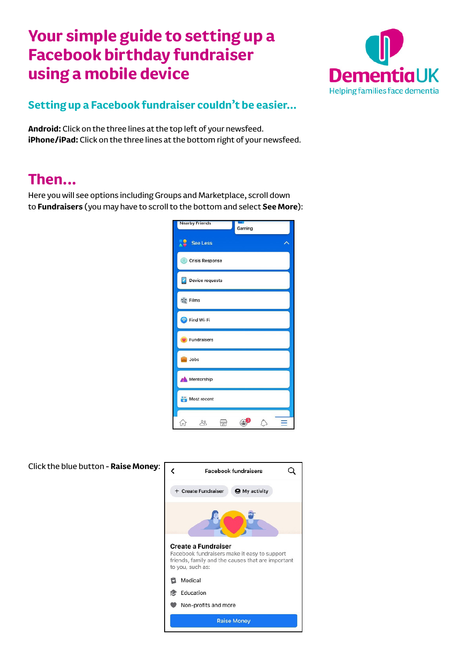# **Your simple guide to setting up a Facebook birthday fundraiser using a mobile device**



## **Setting up a Facebook fundraiser couldn't be easier…**

**Android:** Click on the three lines at the top left of your newsfeed. **iPhone/iPad:** Click on the three lines at the bottom right of your newsfeed.

## **Then...**

Here you will see options including Groups and Marketplace, scroll down to **Fundraisers** (you may have to scroll to the bottom and select **See More**):

| <b>Nearby Friends</b><br>Gaming |
|---------------------------------|
| See Less                        |
| Crisis Response                 |
| Device requests<br>v            |
| <b>A</b> <sup>*</sup> Films     |
| Find Wi-Fi                      |
| Fundraisers                     |
| <b>De</b> Jobs                  |
| <b>Mentorship</b>               |
| Most recent                     |
| ್ದಿ<br>ín)                      |

| Click the blue button - Raise Money: | ≺<br><b>Facebook fundraisers</b>                                                                                                                    |
|--------------------------------------|-----------------------------------------------------------------------------------------------------------------------------------------------------|
|                                      | + Create Fundraiser<br><b>O</b> My activity                                                                                                         |
|                                      |                                                                                                                                                     |
|                                      | <b>Create a Fundraiser</b><br>Facebook fundraisers make it easy to support<br>friends, family and the causes that are important<br>to you, such as: |
|                                      | Medical<br>u                                                                                                                                        |
|                                      | Education<br>痞                                                                                                                                      |
|                                      | Non-profits and more                                                                                                                                |
|                                      | <b>Raise Money</b>                                                                                                                                  |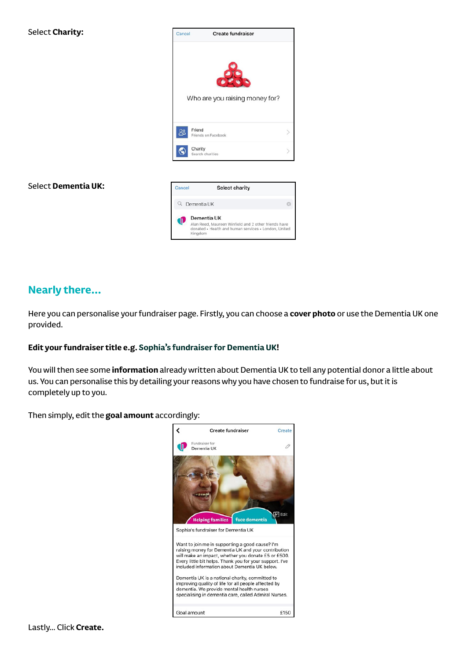



#### Select **Dementia UK:**



### **Nearly there…**

Here you can personalise your fundraiser page. Firstly, you can choose a **cover photo** or use the Dementia UK one provided.

#### **Edit your fundraiser title e.g. Sophia's fundraiser for Dementia UK!**

You will then see some **information** already written about Dementia UK to tell any potential donor a little about us. You can personalise this by detailing your reasons why you have chosen to fundraise for us, but it is completely up to you.

Then simply, edit the **goal amount** accordingly: